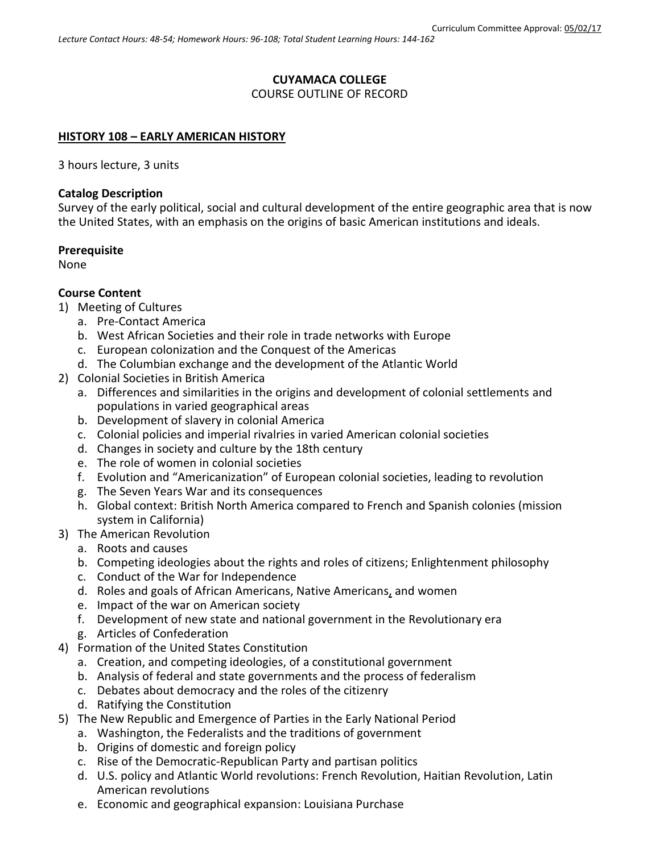# **CUYAMACA COLLEGE**

COURSE OUTLINE OF RECORD

#### **HISTORY 108 – EARLY AMERICAN HISTORY**

3 hours lecture, 3 units

#### **Catalog Description**

Survey of the early political, social and cultural development of the entire geographic area that is now the United States, with an emphasis on the origins of basic American institutions and ideals.

### **Prerequisite**

None

### **Course Content**

- 1) Meeting of Cultures
	- a. Pre-Contact America
	- b. West African Societies and their role in trade networks with Europe
	- c. European colonization and the Conquest of the Americas
	- d. The Columbian exchange and the development of the Atlantic World
- 2) Colonial Societies in British America
	- a. Differences and similarities in the origins and development of colonial settlements and populations in varied geographical areas
	- b. Development of slavery in colonial America
	- c. Colonial policies and imperial rivalries in varied American colonial societies
	- d. Changes in society and culture by the 18th century
	- e. The role of women in colonial societies
	- f. Evolution and "Americanization" of European colonial societies, leading to revolution
	- g. The Seven Years War and its consequences
	- h. Global context: British North America compared to French and Spanish colonies (mission system in California)
- 3) The American Revolution
	- a. Roots and causes
	- b. Competing ideologies about the rights and roles of citizens; Enlightenment philosophy
	- c. Conduct of the War for Independence
	- d. Roles and goals of African Americans, Native Americans, and women
	- e. Impact of the war on American society
	- f. Development of new state and national government in the Revolutionary era
	- g. Articles of Confederation
- 4) Formation of the United States Constitution
	- a. Creation, and competing ideologies, of a constitutional government
	- b. Analysis of federal and state governments and the process of federalism
	- c. Debates about democracy and the roles of the citizenry
	- d. Ratifying the Constitution
- 5) The New Republic and Emergence of Parties in the Early National Period
	- a. Washington, the Federalists and the traditions of government
	- b. Origins of domestic and foreign policy
	- c. Rise of the Democratic-Republican Party and partisan politics
	- d. U.S. policy and Atlantic World revolutions: French Revolution, Haitian Revolution, Latin American revolutions
	- e. Economic and geographical expansion: Louisiana Purchase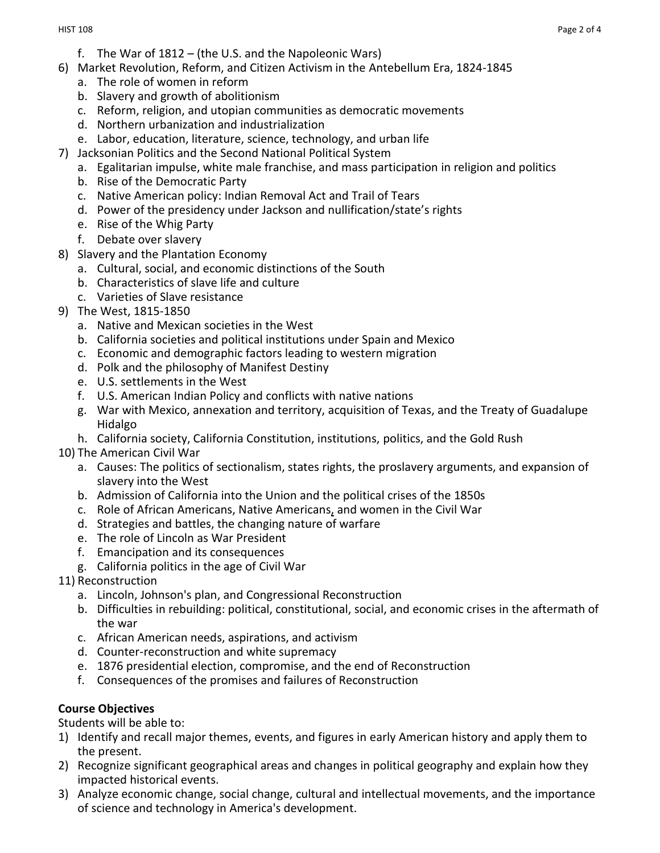- f. The War of 1812 (the U.S. and the Napoleonic Wars)
- 6) Market Revolution, Reform, and Citizen Activism in the Antebellum Era, 1824-1845
	- a. The role of women in reform
	- b. Slavery and growth of abolitionism
	- c. Reform, religion, and utopian communities as democratic movements
	- d. Northern urbanization and industrialization
	- e. Labor, education, literature, science, technology, and urban life
- 7) Jacksonian Politics and the Second National Political System
	- a. Egalitarian impulse, white male franchise, and mass participation in religion and politics
	- b. Rise of the Democratic Party
	- c. Native American policy: Indian Removal Act and Trail of Tears
	- d. Power of the presidency under Jackson and nullification/state's rights
	- e. Rise of the Whig Party
	- f. Debate over slavery
- 8) Slavery and the Plantation Economy
	- a. Cultural, social, and economic distinctions of the South
	- b. Characteristics of slave life and culture
	- c. Varieties of Slave resistance
- 9) The West, 1815-1850
	- a. Native and Mexican societies in the West
	- b. California societies and political institutions under Spain and Mexico
	- c. Economic and demographic factors leading to western migration
	- d. Polk and the philosophy of Manifest Destiny
	- e. U.S. settlements in the West
	- f. U.S. American Indian Policy and conflicts with native nations
	- g. War with Mexico, annexation and territory, acquisition of Texas, and the Treaty of Guadalupe Hidalgo
	- h. California society, California Constitution, institutions, politics, and the Gold Rush
- 10) The American Civil War
	- a. Causes: The politics of sectionalism, states rights, the proslavery arguments, and expansion of slavery into the West
	- b. Admission of California into the Union and the political crises of the 1850s
	- c. Role of African Americans, Native Americans, and women in the Civil War
	- d. Strategies and battles, the changing nature of warfare
	- e. The role of Lincoln as War President
	- f. Emancipation and its consequences
	- g. California politics in the age of Civil War
- 11) Reconstruction
	- a. Lincoln, Johnson's plan, and Congressional Reconstruction
	- b. Difficulties in rebuilding: political, constitutional, social, and economic crises in the aftermath of the war
	- c. African American needs, aspirations, and activism
	- d. Counter-reconstruction and white supremacy
	- e. 1876 presidential election, compromise, and the end of Reconstruction
	- f. Consequences of the promises and failures of Reconstruction

# **Course Objectives**

Students will be able to:

- 1) Identify and recall major themes, events, and figures in early American history and apply them to the present.
- 2) Recognize significant geographical areas and changes in political geography and explain how they impacted historical events.
- 3) Analyze economic change, social change, cultural and intellectual movements, and the importance of science and technology in America's development.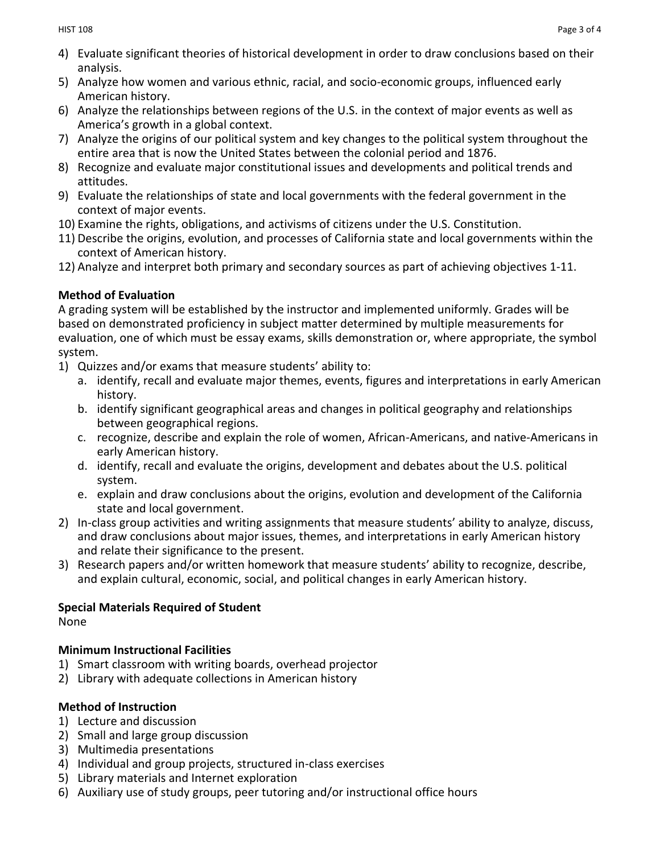- 4) Evaluate significant theories of historical development in order to draw conclusions based on their analysis.
- 5) Analyze how women and various ethnic, racial, and socio-economic groups, influenced early American history.
- 6) Analyze the relationships between regions of the U.S. in the context of major events as well as America's growth in a global context.
- 7) Analyze the origins of our political system and key changes to the political system throughout the entire area that is now the United States between the colonial period and 1876.
- 8) Recognize and evaluate major constitutional issues and developments and political trends and attitudes.
- 9) Evaluate the relationships of state and local governments with the federal government in the context of major events.
- 10) Examine the rights, obligations, and activisms of citizens under the U.S. Constitution.
- 11) Describe the origins, evolution, and processes of California state and local governments within the context of American history.
- 12) Analyze and interpret both primary and secondary sources as part of achieving objectives 1-11.

# **Method of Evaluation**

A grading system will be established by the instructor and implemented uniformly. Grades will be based on demonstrated proficiency in subject matter determined by multiple measurements for evaluation, one of which must be essay exams, skills demonstration or, where appropriate, the symbol system.

- 1) Quizzes and/or exams that measure students' ability to:
	- a. identify, recall and evaluate major themes, events, figures and interpretations in early American history.
	- b. identify significant geographical areas and changes in political geography and relationships between geographical regions.
	- c. recognize, describe and explain the role of women, African-Americans, and native-Americans in early American history.
	- d. identify, recall and evaluate the origins, development and debates about the U.S. political system.
	- e. explain and draw conclusions about the origins, evolution and development of the California state and local government.
- 2) In-class group activities and writing assignments that measure students' ability to analyze, discuss, and draw conclusions about major issues, themes, and interpretations in early American history and relate their significance to the present.
- 3) Research papers and/or written homework that measure students' ability to recognize, describe, and explain cultural, economic, social, and political changes in early American history.

# **Special Materials Required of Student**

None

## **Minimum Instructional Facilities**

- 1) Smart classroom with writing boards, overhead projector
- 2) Library with adequate collections in American history

# **Method of Instruction**

- 1) Lecture and discussion
- 2) Small and large group discussion
- 3) Multimedia presentations
- 4) Individual and group projects, structured in-class exercises
- 5) Library materials and Internet exploration
- 6) Auxiliary use of study groups, peer tutoring and/or instructional office hours